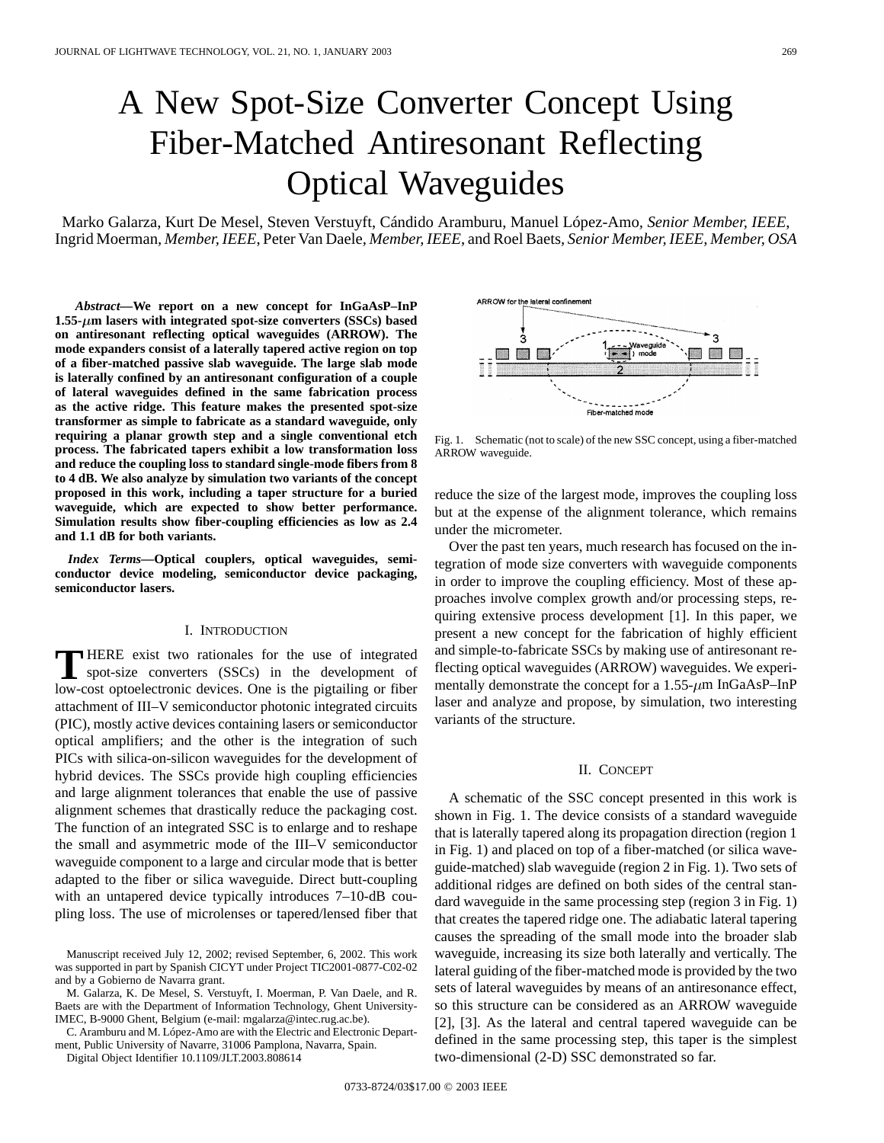# A New Spot-Size Converter Concept Using Fiber-Matched Antiresonant Reflecting Optical Waveguides

Marko Galarza, Kurt De Mesel, Steven Verstuyft, Cándido Aramburu, Manuel López-Amo*, Senior Member, IEEE*, Ingrid Moerman*, Member, IEEE*, Peter Van Daele*, Member, IEEE*, and Roel Baets*, Senior Member, IEEE, Member, OSA*

*Abstract—***We report on a new concept for InGaAsP–InP 1.55- m lasers with integrated spot-size converters (SSCs) based on antiresonant reflecting optical waveguides (ARROW). The mode expanders consist of a laterally tapered active region on top of a fiber-matched passive slab waveguide. The large slab mode is laterally confined by an antiresonant configuration of a couple of lateral waveguides defined in the same fabrication process as the active ridge. This feature makes the presented spot-size transformer as simple to fabricate as a standard waveguide, only requiring a planar growth step and a single conventional etch process. The fabricated tapers exhibit a low transformation loss and reduce the coupling loss to standard single-mode fibers from 8 to 4 dB. We also analyze by simulation two variants of the concept proposed in this work, including a taper structure for a buried waveguide, which are expected to show better performance. Simulation results show fiber-coupling efficiencies as low as 2.4 and 1.1 dB for both variants.**

*Index Terms—***Optical couplers, optical waveguides, semiconductor device modeling, semiconductor device packaging, semiconductor lasers.**

#### I. INTRODUCTION

**T** HERE exist two rationales for the use of integrated spot-size converters (SSCs) in the development of law set article lating consistent of the mixtuiting on fiber low-cost optoelectronic devices. One is the pigtailing or fiber attachment of III–V semiconductor photonic integrated circuits (PIC), mostly active devices containing lasers or semiconductor optical amplifiers; and the other is the integration of such PICs with silica-on-silicon waveguides for the development of hybrid devices. The SSCs provide high coupling efficiencies and large alignment tolerances that enable the use of passive alignment schemes that drastically reduce the packaging cost. The function of an integrated SSC is to enlarge and to reshape the small and asymmetric mode of the III–V semiconductor waveguide component to a large and circular mode that is better adapted to the fiber or silica waveguide. Direct butt-coupling with an untapered device typically introduces 7–10-dB coupling loss. The use of microlenses or tapered/lensed fiber that

M. Galarza, K. De Mesel, S. Verstuyft, I. Moerman, P. Van Daele, and R. Baets are with the Department of Information Technology, Ghent University-IMEC, B-9000 Ghent, Belgium (e-mail: mgalarza@intec.rug.ac.be).

C. Aramburu and M. López-Amo are with the Electric and Electronic Department, Public University of Navarre, 31006 Pamplona, Navarra, Spain.

Digital Object Identifier 10.1109/JLT.2003.808614

ARROW for the lateral confinemen Ś ٠3 Waveguide<br>
The T<sub>1</sub> mode o  $\cdot \Box$   $\Box$ □ Fiber-matched mode

Fig. 1. Schematic (not to scale) of the new SSC concept, using a fiber-matched ARROW waveguide.

reduce the size of the largest mode, improves the coupling loss but at the expense of the alignment tolerance, which remains under the micrometer.

Over the past ten years, much research has focused on the integration of mode size converters with waveguide components in order to improve the coupling efficiency. Most of these approaches involve complex growth and/or processing steps, requiring extensive process development [1]. In this paper, we present a new concept for the fabrication of highly efficient and simple-to-fabricate SSCs by making use of antiresonant reflecting optical waveguides (ARROW) waveguides. We experimentally demonstrate the concept for a  $1.55-\mu m$  InGaAsP–InP laser and analyze and propose, by simulation, two interesting variants of the structure.

### II. CONCEPT

A schematic of the SSC concept presented in this work is shown in Fig. 1. The device consists of a standard waveguide that is laterally tapered along its propagation direction (region 1 in Fig. 1) and placed on top of a fiber-matched (or silica waveguide-matched) slab waveguide (region 2 in Fig. 1). Two sets of additional ridges are defined on both sides of the central standard waveguide in the same processing step (region 3 in Fig. 1) that creates the tapered ridge one. The adiabatic lateral tapering causes the spreading of the small mode into the broader slab waveguide, increasing its size both laterally and vertically. The lateral guiding of the fiber-matched mode is provided by the two sets of lateral waveguides by means of an antiresonance effect, so this structure can be considered as an ARROW waveguide [2], [3]. As the lateral and central tapered waveguide can be defined in the same processing step, this taper is the simplest two-dimensional (2-D) SSC demonstrated so far.



Manuscript received July 12, 2002; revised September, 6, 2002. This work was supported in part by Spanish CICYT under Project TIC2001-0877-C02-02 and by a Gobierno de Navarra grant.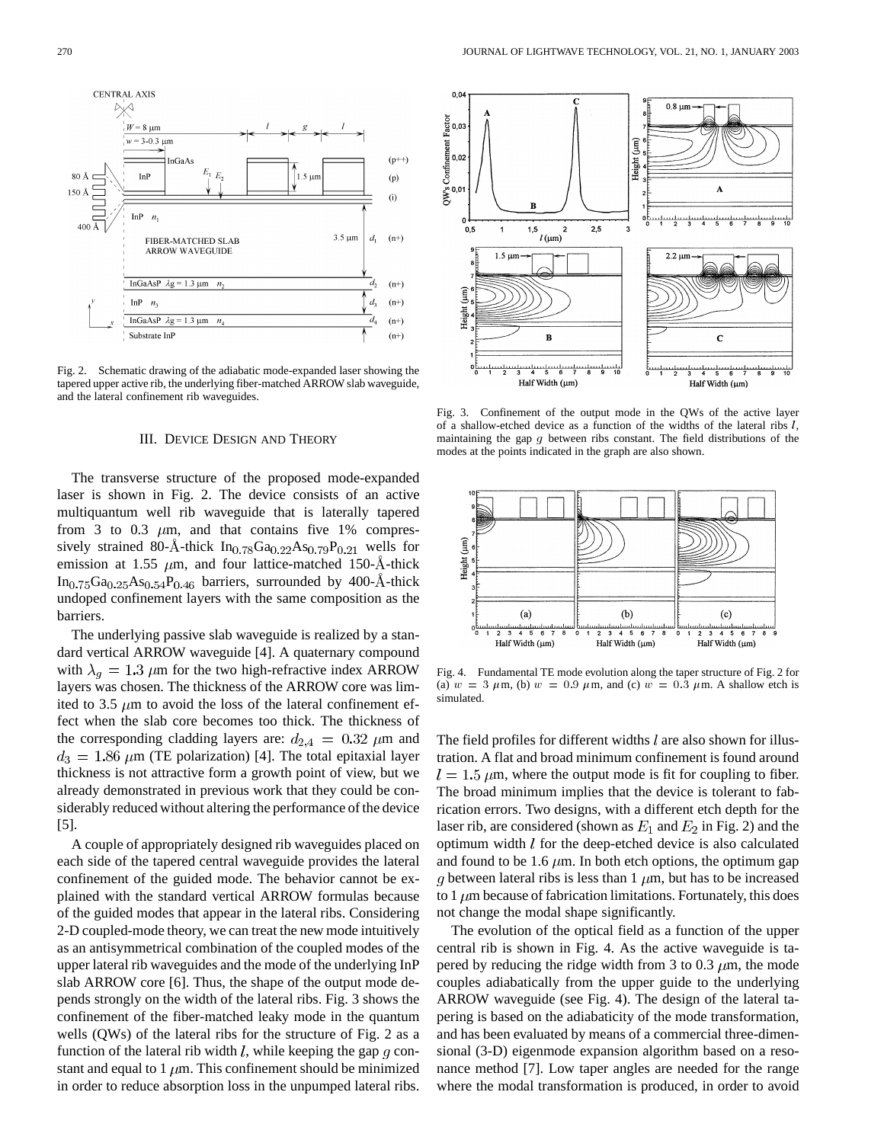

Fig. 2. Schematic drawing of the adiabatic mode-expanded laser showing the tapered upper active rib, the underlying fiber-matched ARROW slab waveguide, and the lateral confinement rib waveguides.

#### III. DEVICE DESIGN AND THEORY

The transverse structure of the proposed mode-expanded laser is shown in Fig. 2. The device consists of an active multiquantum well rib waveguide that is laterally tapered from 3 to 0.3  $\mu$ m, and that contains five 1% compressively strained 80-Å-thick  $In<sub>0.78</sub> Ga<sub>0.22</sub> As<sub>0.79</sub>P<sub>0.21</sub>$  wells for emission at 1.55  $\mu$ m, and four lattice-matched 150-Å-thick  $In_{0.75}Ga_{0.25}As_{0.54}P_{0.46}$  barriers, surrounded by 400-Å-thick undoped confinement layers with the same composition as the barriers.

The underlying passive slab waveguide is realized by a standard vertical ARROW waveguide [4]. A quaternary compound with  $\lambda_q = 1.3 \ \mu \text{m}$  for the two high-refractive index ARROW layers was chosen. The thickness of the ARROW core was limited to 3.5  $\mu$ m to avoid the loss of the lateral confinement effect when the slab core becomes too thick. The thickness of the corresponding cladding layers are:  $d_{2,4} = 0.32 \ \mu \text{m}$  and  $d_3 = 1.86 \ \mu m$  (TE polarization) [4]. The total epitaxial layer thickness is not attractive form a growth point of view, but we already demonstrated in previous work that they could be considerably reduced without altering the performance of the device [5].

A couple of appropriately designed rib waveguides placed on each side of the tapered central waveguide provides the lateral confinement of the guided mode. The behavior cannot be explained with the standard vertical ARROW formulas because of the guided modes that appear in the lateral ribs. Considering 2-D coupled-mode theory, we can treat the new mode intuitively as an antisymmetrical combination of the coupled modes of the upper lateral rib waveguides and the mode of the underlying InP slab ARROW core [6]. Thus, the shape of the output mode depends strongly on the width of the lateral ribs. Fig. 3 shows the confinement of the fiber-matched leaky mode in the quantum wells (QWs) of the lateral ribs for the structure of Fig. 2 as a function of the lateral rib width  $l$ , while keeping the gap  $q$  constant and equal to 1  $\mu$ m. This confinement should be minimized in order to reduce absorption loss in the unpumped lateral ribs.



Fig. 3. Confinement of the output mode in the QWs of the active layer of a shallow-etched device as a function of the widths of the lateral ribs l, maintaining the gap  $g$  between ribs constant. The field distributions of the modes at the points indicated in the graph are also shown.



Fig. 4. Fundamental TE mode evolution along the taper structure of Fig. 2 for (a)  $w = 3 \mu \text{m}$ , (b)  $w = 0.9 \mu \text{m}$ , and (c)  $w = 0.3 \mu \text{m}$ . A shallow etch is simulated.

The field profiles for different widths  $l$  are also shown for illustration. A flat and broad minimum confinement is found around  $l = 1.5 \mu$ m, where the output mode is fit for coupling to fiber. The broad minimum implies that the device is tolerant to fabrication errors. Two designs, with a different etch depth for the laser rib, are considered (shown as  $E_1$  and  $E_2$  in Fig. 2) and the optimum width  $l$  for the deep-etched device is also calculated and found to be 1.6  $\mu$ m. In both etch options, the optimum gap g between lateral ribs is less than  $1 \mu m$ , but has to be increased to  $1 \mu$ m because of fabrication limitations. Fortunately, this does not change the modal shape significantly.

The evolution of the optical field as a function of the upper central rib is shown in Fig. 4. As the active waveguide is tapered by reducing the ridge width from 3 to 0.3  $\mu$ m, the mode couples adiabatically from the upper guide to the underlying ARROW waveguide (see Fig. 4). The design of the lateral tapering is based on the adiabaticity of the mode transformation, and has been evaluated by means of a commercial three-dimensional (3-D) eigenmode expansion algorithm based on a resonance method [7]. Low taper angles are needed for the range where the modal transformation is produced, in order to avoid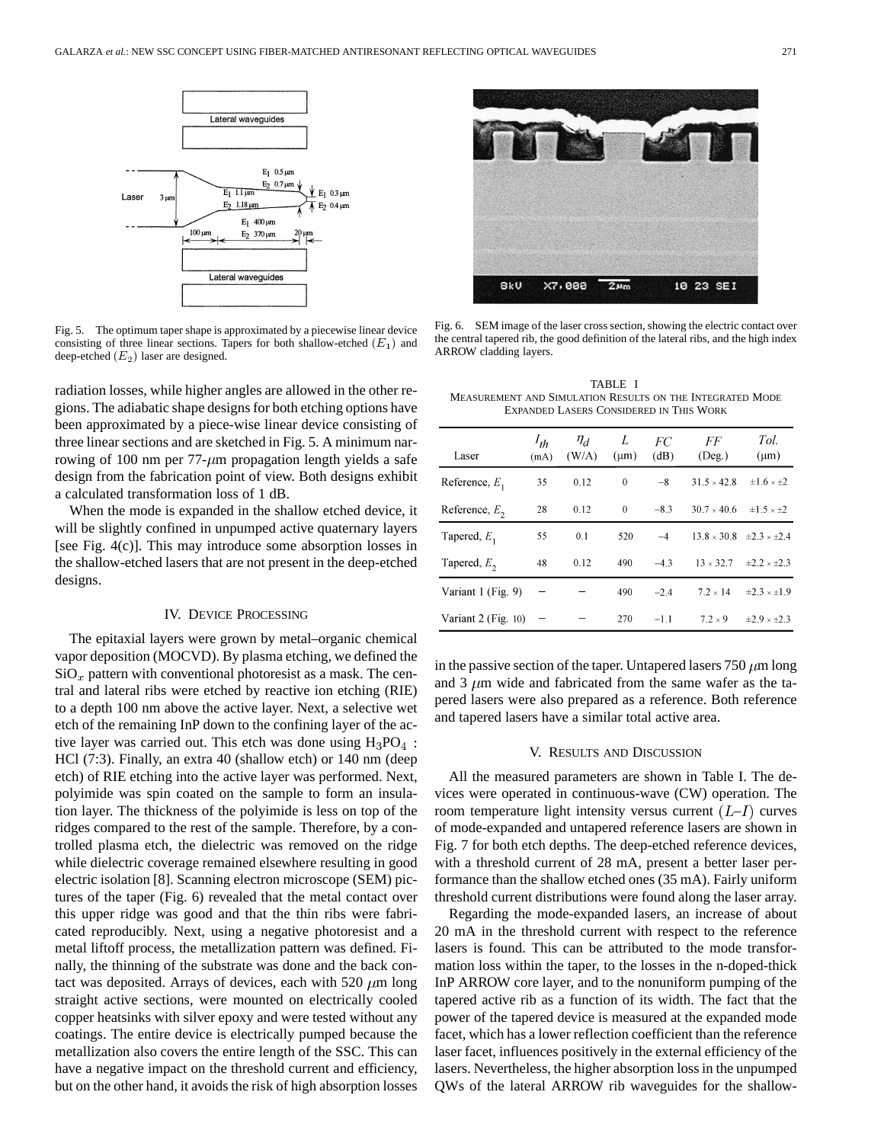

Fig. 5. The optimum taper shape is approximated by a piecewise linear device consisting of three linear sections. Tapers for both shallow-etched  $(E_1)$  and deep-etched  $(E_2)$  laser are designed.

radiation losses, while higher angles are allowed in the other regions. The adiabatic shape designs for both etching options have been approximated by a piece-wise linear device consisting of three linear sections and are sketched in Fig. 5. A minimum narrowing of 100 nm per  $77-\mu m$  propagation length yields a safe design from the fabrication point of view. Both designs exhibit a calculated transformation loss of 1 dB.

When the mode is expanded in the shallow etched device, it will be slightly confined in unpumped active quaternary layers [see Fig. 4(c)]. This may introduce some absorption losses in the shallow-etched lasers that are not present in the deep-etched designs.

#### IV. DEVICE PROCESSING

The epitaxial layers were grown by metal–organic chemical vapor deposition (MOCVD). By plasma etching, we defined the  $\text{SiO}_x$  pattern with conventional photoresist as a mask. The central and lateral ribs were etched by reactive ion etching (RIE) to a depth 100 nm above the active layer. Next, a selective wet etch of the remaining InP down to the confining layer of the active layer was carried out. This etch was done using  $H_3PO_4$ : HCl (7:3). Finally, an extra 40 (shallow etch) or 140 nm (deep etch) of RIE etching into the active layer was performed. Next, polyimide was spin coated on the sample to form an insulation layer. The thickness of the polyimide is less on top of the ridges compared to the rest of the sample. Therefore, by a controlled plasma etch, the dielectric was removed on the ridge while dielectric coverage remained elsewhere resulting in good electric isolation [8]. Scanning electron microscope (SEM) pictures of the taper (Fig. 6) revealed that the metal contact over this upper ridge was good and that the thin ribs were fabricated reproducibly. Next, using a negative photoresist and a metal liftoff process, the metallization pattern was defined. Finally, the thinning of the substrate was done and the back contact was deposited. Arrays of devices, each with 520  $\mu$ m long straight active sections, were mounted on electrically cooled copper heatsinks with silver epoxy and were tested without any coatings. The entire device is electrically pumped because the metallization also covers the entire length of the SSC. This can have a negative impact on the threshold current and efficiency, but on the other hand, it avoids the risk of high absorption losses



Fig. 6. SEM image of the laser cross section, showing the electric contact over the central tapered rib, the good definition of the lateral ribs, and the high index ARROW cladding layers.

TABLE I MEASUREMENT AND SIMULATION RESULTS ON THE INTEGRATED MODE EXPANDED LASERS CONSIDERED IN THIS WORK

| Laser               | $l_{th}$<br>(mA) | $\eta_d$<br>(W/A) | L<br>$(\mu m)$ | FC<br>(dB) | FF<br>$($ Deg. $)$                      | Tol.<br>$(\mu m)$                     |
|---------------------|------------------|-------------------|----------------|------------|-----------------------------------------|---------------------------------------|
| Reference, $E_1$    | 35               | 0.12              | $\bf{0}$       | $-8$       | $31.5 \times 42.8$                      | $\pm 1.6 \times \pm 2$                |
| Reference, $E_2$    | 28               | 0.12              | $\theta$       | $-8.3$     | $30.7 \times 40.6$ $\pm 1.5 \times 12$  |                                       |
| Tapered, $E_1$      | 55               | 0.1               | 520            | $-4$       | $13.8 \times 30.8$ $\pm 2.3 \times 2.4$ |                                       |
| Tapered, $E_2$      | 48               | 0.12              | 490            | $-4.3$     |                                         | $13 \times 32.7$ $\pm 2.2 \times 2.3$ |
| Variant 1 (Fig. 9)  |                  |                   | 490            | $-2.4$     | $7.2 \times 14$                         | $\pm 2.3 \times \pm 1.9$              |
| Variant 2 (Fig. 10) |                  |                   | 270            | $-1.1$     | $7.2 \times 9$                          | $\pm 2.9 \times \pm 2.3$              |

in the passive section of the taper. Untapered lasers  $750 \mu m$  long and 3  $\mu$ m wide and fabricated from the same wafer as the tapered lasers were also prepared as a reference. Both reference and tapered lasers have a similar total active area.

#### V. RESULTS AND DISCUSSION

All the measured parameters are shown in Table I. The devices were operated in continuous-wave (CW) operation. The room temperature light intensity versus current  $(L-I)$  curves of mode-expanded and untapered reference lasers are shown in Fig. 7 for both etch depths. The deep-etched reference devices, with a threshold current of 28 mA, present a better laser performance than the shallow etched ones (35 mA). Fairly uniform threshold current distributions were found along the laser array.

Regarding the mode-expanded lasers, an increase of about 20 mA in the threshold current with respect to the reference lasers is found. This can be attributed to the mode transformation loss within the taper, to the losses in the n-doped-thick InP ARROW core layer, and to the nonuniform pumping of the tapered active rib as a function of its width. The fact that the power of the tapered device is measured at the expanded mode facet, which has a lower reflection coefficient than the reference laser facet, influences positively in the external efficiency of the lasers. Nevertheless, the higher absorption loss in the unpumped QWs of the lateral ARROW rib waveguides for the shallow-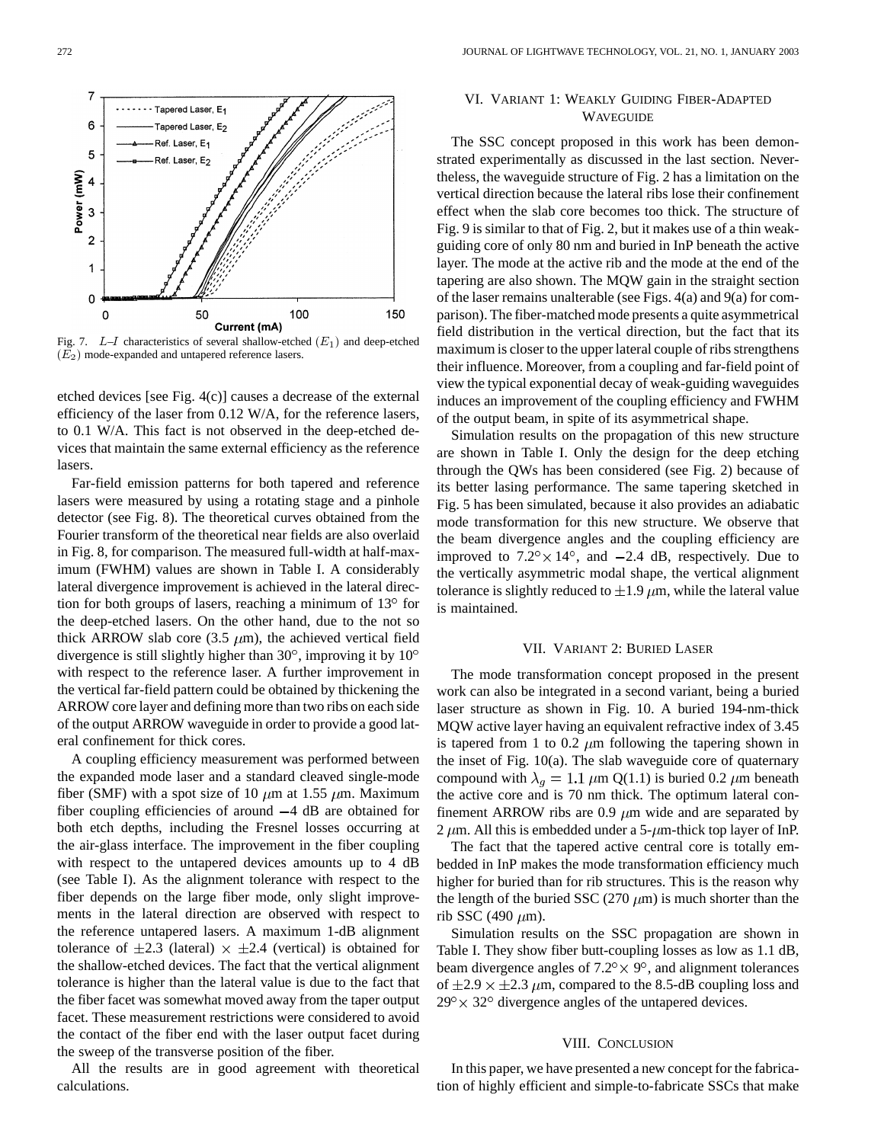

Fig. 7.  $L-I$  characteristics of several shallow-etched  $(E_1)$  and deep-etched  $(\overline{E}_2)$  mode-expanded and untapered reference lasers.

etched devices [see Fig. 4(c)] causes a decrease of the external efficiency of the laser from 0.12 W/A, for the reference lasers, to 0.1 W/A. This fact is not observed in the deep-etched devices that maintain the same external efficiency as the reference lasers.

Far-field emission patterns for both tapered and reference lasers were measured by using a rotating stage and a pinhole detector (see Fig. 8). The theoretical curves obtained from the Fourier transform of the theoretical near fields are also overlaid in Fig. 8, for comparison. The measured full-width at half-maximum (FWHM) values are shown in Table I. A considerably lateral divergence improvement is achieved in the lateral direction for both groups of lasers, reaching a minimum of  $13^{\circ}$  for the deep-etched lasers. On the other hand, due to the not so thick ARROW slab core (3.5  $\mu$ m), the achieved vertical field divergence is still slightly higher than  $30^{\circ}$ , improving it by  $10^{\circ}$ with respect to the reference laser. A further improvement in the vertical far-field pattern could be obtained by thickening the ARROW core layer and defining more than two ribs on each side of the output ARROW waveguide in order to provide a good lateral confinement for thick cores.

A coupling efficiency measurement was performed between the expanded mode laser and a standard cleaved single-mode fiber (SMF) with a spot size of 10  $\mu$ m at 1.55  $\mu$ m. Maximum fiber coupling efficiencies of around  $-4$  dB are obtained for both etch depths, including the Fresnel losses occurring at the air-glass interface. The improvement in the fiber coupling with respect to the untapered devices amounts up to 4 dB (see Table I). As the alignment tolerance with respect to the fiber depends on the large fiber mode, only slight improvements in the lateral direction are observed with respect to the reference untapered lasers. A maximum 1-dB alignment tolerance of  $\pm 2.3$  (lateral)  $\times \pm 2.4$  (vertical) is obtained for the shallow-etched devices. The fact that the vertical alignment tolerance is higher than the lateral value is due to the fact that the fiber facet was somewhat moved away from the taper output facet. These measurement restrictions were considered to avoid the contact of the fiber end with the laser output facet during the sweep of the transverse position of the fiber.

All the results are in good agreement with theoretical calculations.

## VI. VARIANT 1: WEAKLY GUIDING FIBER-ADAPTED **WAVEGUIDE**

The SSC concept proposed in this work has been demonstrated experimentally as discussed in the last section. Nevertheless, the waveguide structure of Fig. 2 has a limitation on the vertical direction because the lateral ribs lose their confinement effect when the slab core becomes too thick. The structure of Fig. 9 is similar to that of Fig. 2, but it makes use of a thin weakguiding core of only 80 nm and buried in InP beneath the active layer. The mode at the active rib and the mode at the end of the tapering are also shown. The MQW gain in the straight section of the laser remains unalterable (see Figs. 4(a) and 9(a) for comparison). The fiber-matched mode presents a quite asymmetrical field distribution in the vertical direction, but the fact that its maximum is closer to the upper lateral couple of ribs strengthens their influence. Moreover, from a coupling and far-field point of view the typical exponential decay of weak-guiding waveguides induces an improvement of the coupling efficiency and FWHM of the output beam, in spite of its asymmetrical shape.

Simulation results on the propagation of this new structure are shown in Table I. Only the design for the deep etching through the QWs has been considered (see Fig. 2) because of its better lasing performance. The same tapering sketched in Fig. 5 has been simulated, because it also provides an adiabatic mode transformation for this new structure. We observe that the beam divergence angles and the coupling efficiency are improved to  $7.2^{\circ} \times 14^{\circ}$ , and  $-2.4$  dB, respectively. Due to the vertically asymmetric modal shape, the vertical alignment tolerance is slightly reduced to  $\pm 1.9 \mu$ m, while the lateral value is maintained.

#### VII. VARIANT 2: BURIED LASER

The mode transformation concept proposed in the present work can also be integrated in a second variant, being a buried laser structure as shown in Fig. 10. A buried 194-nm-thick MQW active layer having an equivalent refractive index of 3.45 is tapered from 1 to 0.2  $\mu$ m following the tapering shown in the inset of Fig. 10(a). The slab waveguide core of quaternary compound with  $\lambda_q = 1.1 \ \mu \text{m} \text{ Q}(1.1)$  is buried 0.2  $\mu \text{m}$  beneath the active core and is 70 nm thick. The optimum lateral confinement ARROW ribs are 0.9  $\mu$ m wide and are separated by 2  $\mu$ m. All this is embedded under a 5- $\mu$ m-thick top layer of InP.

The fact that the tapered active central core is totally embedded in InP makes the mode transformation efficiency much higher for buried than for rib structures. This is the reason why the length of the buried SSC (270  $\mu$ m) is much shorter than the rib SSC (490  $\mu$ m).

Simulation results on the SSC propagation are shown in Table I. They show fiber butt-coupling losses as low as 1.1 dB, beam divergence angles of  $7.2^{\circ} \times 9^{\circ}$ , and alignment tolerances of  $\pm 2.9 \times \pm 2.3 \ \mu$ m, compared to the 8.5-dB coupling loss and  $29^{\circ} \times 32^{\circ}$  divergence angles of the untapered devices.

#### VIII. CONCLUSION

In this paper, we have presented a new concept for the fabrication of highly efficient and simple-to-fabricate SSCs that make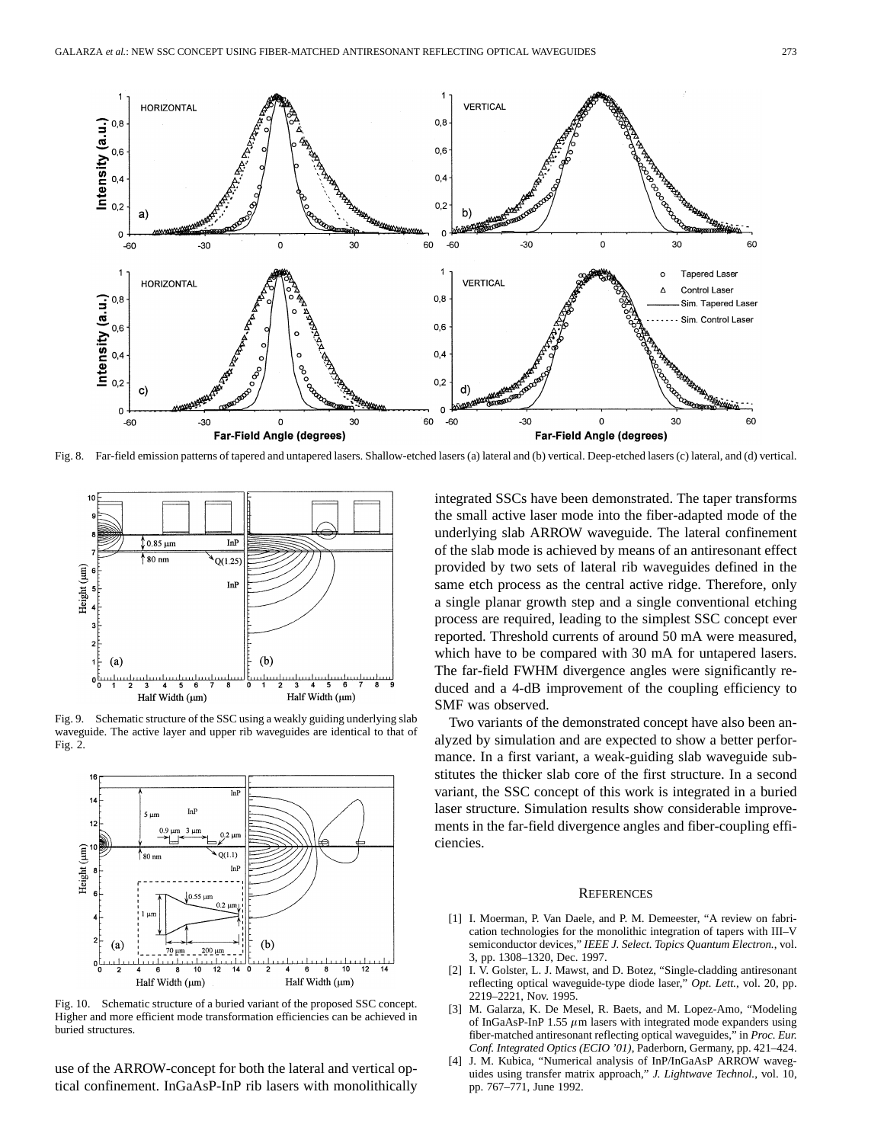

Fig. 8. Far-field emission patterns of tapered and untapered lasers. Shallow-etched lasers (a) lateral and (b) vertical. Deep-etched lasers (c) lateral, and (d) vertical.



Fig. 9. Schematic structure of the SSC using a weakly guiding underlying slab waveguide. The active layer and upper rib waveguides are identical to that of Fig. 2.



Fig. 10. Schematic structure of a buried variant of the proposed SSC concept. Higher and more efficient mode transformation efficiencies can be achieved in buried structures.

use of the ARROW-concept for both the lateral and vertical optical confinement. InGaAsP-InP rib lasers with monolithically integrated SSCs have been demonstrated. The taper transforms the small active laser mode into the fiber-adapted mode of the underlying slab ARROW waveguide. The lateral confinement of the slab mode is achieved by means of an antiresonant effect provided by two sets of lateral rib waveguides defined in the same etch process as the central active ridge. Therefore, only a single planar growth step and a single conventional etching process are required, leading to the simplest SSC concept ever reported. Threshold currents of around 50 mA were measured, which have to be compared with 30 mA for untapered lasers. The far-field FWHM divergence angles were significantly reduced and a 4-dB improvement of the coupling efficiency to SMF was observed.

Two variants of the demonstrated concept have also been analyzed by simulation and are expected to show a better performance. In a first variant, a weak-guiding slab waveguide substitutes the thicker slab core of the first structure. In a second variant, the SSC concept of this work is integrated in a buried laser structure. Simulation results show considerable improvements in the far-field divergence angles and fiber-coupling efficiencies.

#### **REFERENCES**

- [1] I. Moerman, P. Van Daele, and P. M. Demeester, "A review on fabrication technologies for the monolithic integration of tapers with III–V semiconductor devices," *IEEE J. Select. Topics Quantum Electron.*, vol. 3, pp. 1308–1320, Dec. 1997.
- [2] I. V. Golster, L. J. Mawst, and D. Botez, "Single-cladding antiresonant reflecting optical waveguide-type diode laser," *Opt. Lett.*, vol. 20, pp. 2219–2221, Nov. 1995.
- [3] M. Galarza, K. De Mesel, R. Baets, and M. Lopez-Amo, "Modeling of InGaAsP-InP 1.55  $\mu$ m lasers with integrated mode expanders using fiber-matched antiresonant reflecting optical waveguides," in *Proc. Eur. Conf. Integrated Optics (ECIO '01)*, Paderborn, Germany, pp. 421–424.
- J. M. Kubica, "Numerical analysis of InP/InGaAsP ARROW waveguides using transfer matrix approach," *J. Lightwave Technol.*, vol. 10, pp. 767–771, June 1992.